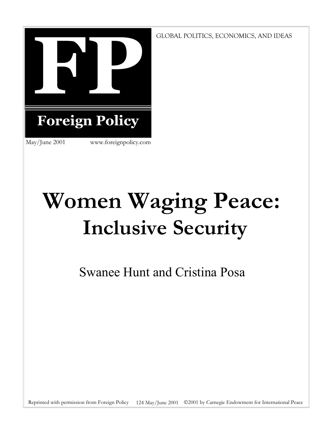

GLOBAL POLITICS, ECONOMICS, AND IDEAS

## **Women Waging Peace: Inclusive Security**

Swanee Hunt and Cristina Posa

Reprinted with permission from Foreign Policy 124 May/June 2001 © 2001 by Carnegie Endowment for International Peace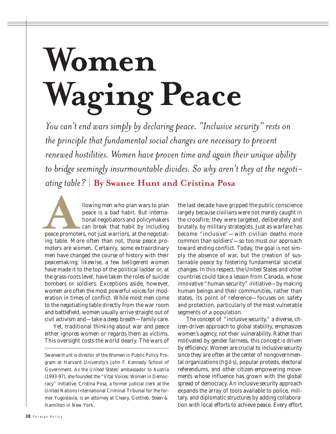# **Women Waging Peace**

*You can't end wars simply by declaring peace. "Inclusive security" rests on the principle that fundamental social changes are necessary to prevent renewed hostilities. Women have proven time and again their unique ability to bridge seemingly insurmountable divides. So why aren't they at the negotiating table?* **| By Swanee Hunt and Cristina Posa**

**Allowing men who plan wars to plan<br>peace is a bad habit. But interna-<br>tional negotiators and policymakers<br>can break that habit by including<br>peace promoters, not just warriors, at the negotiat-<br>ing table. More often than n** peace is a bad habit. But international negotiators and policymakers can break that habit by including peace promoters, not just warriors, at the negotiating table. More often than not, those peace promoters are women. Certainly, some extraordinary men have changed the course of history with their peacemaking; likewise, a few belligerent women have made it to the top of the political ladder or, at the grass-roots level, have taken the roles of suicide bombers or soldiers. Exceptions aside, however, women are often the most powerful voices for moderation in times of conflict. While most men come to the negotiating table directly from the war room and battlefield, women usually arrive straight out of civil activism and—take a deep breath—family care.

Yet, traditional thinking about war and peace either ignores women or regards them as victims. This oversight costs the world dearly. The wars of

*Swanee Hunt is director of the Women in Public Policy Program at Harvard University's John F. Kennedy School of Government. As the United States' ambassador to Austria (1993-97), she founded the "Vital Voices: Women in Democracy" initiative. Cristina Posa, a former judicial clerk at the United Nations International Criminal Tribunal for the former Yugoslavia, is an attorney at Cleary, Gottlieb, Steen & Hamilton in New York.*

the last decade have gripped the public conscience largely because civilians were not merely caught in the crossfire; they were targeted, deliberately and brutally, by military strategists. Just as warfare has become "inclusive"—with civilian deaths more common than soldiers'—so too must our approach toward ending conflict. Today, the goal is not simply the absence of war, but the creation of sustainable peace by fostering fundamental societal changes. In this respect, the United States and other countries could take a lesson from Canada, whose innovative "human security" initiative—by making human beings and their communities, rather than states, its point of reference—focuses on safety and protection, particularly of the most vulnerable segments of a population.

The concept of "inclusive security," a diverse, citizen-driven approach to global stability, emphasizes women's agency, not their vulnerability. Rather than motivated by gender fairness, this concept is driven by efficiency: Women are crucial to inclusive security since they are often at the center of nongovernmental organizations (ngos), popular protests, electoral referendums, and other citizen-empowering movements whose influence has grown with the global spread of democracy. An inclusive security approach expands the array of tools available to police, military, and diplomatic structures by adding collaboration with local efforts to achieve peace. Every effort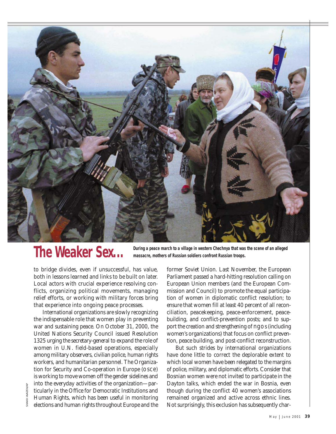

to bridge divides, even if unsuccessful, has value, both in lessons learned and links to be built on later. Local actors with crucial experience resolving conflicts, organizing political movements, managing relief efforts, or working with military forces bring that experience into ongoing peace processes.

International organizations are slowly recognizing the indispensable role that women play in preventing war and sustaining peace. On October 31, 2000, the United Nations Security Council issued Resolution 1325 urging the secretary-general to expand the role of women in U.N. field-based operations, especially among military observers, civilian police, human rights workers, and humanitarian personnel. The Organization for Security and Co-operation in Europe (osce) is working to move women off the gender sidelines and into the everyday activities of the organization—particularly in the Office for Democratic Institutions and Human Rights, which has been useful in monitoring elections and human rights throughout Europe and the

**The Weaker Sex...** During a peace march to a village in western Chechnya that was the scene of an alleged and  $\mathbf{F}$ **massacre, mothers of Russian soldiers confront Russian troops.** 

> former Soviet Union. Last November, the European Parliament passed a hard-hitting resolution calling on European Union members (and the European Commission and Council) to promote the equal participation of women in diplomatic conflict resolution; to ensure that women fill at least 40 percent of all reconciliation, peacekeeping, peace-enforcement, peacebuilding, and conflict-prevention posts; and to support the creation and strengthening of ngos (including women's organizations) that focus on conflict prevention, peace building, and post-conflict reconstruction.

> But such strides by international organizations have done little to correct the deplorable extent to which local women have been relegated to the margins of police, military, and diplomatic efforts. Consider that Bosnian women were not invited to participate in the Dayton talks, which ended the war in Bosnia, even though during the conflict 40 women's associations remained organized and active across ethnic lines. Not surprisingly, this exclusion has subsequently char-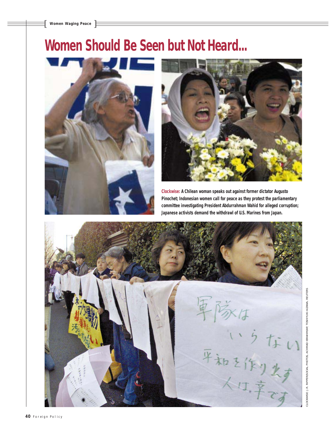## **Women Should Be Seen but Not Heard...**





**Clockwise: A Chilean woman speaks out against former dictator Augusto Pinochet; Indonesian women call for peace as they protest the parliamentary committee investigating President Abdurrahman Wahid for alleged corruption; Japanese activists demand the withdrawl of U.S. Marines from Japan.** 

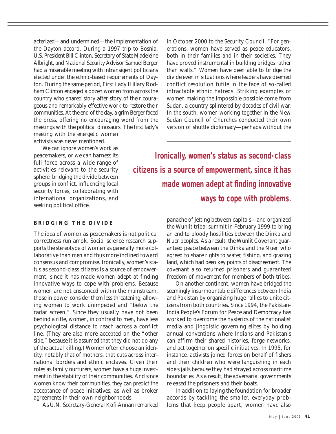acterized—and undermined—the implementation of the Dayton accord. During a 1997 trip to Bosnia, U.S. President Bill Clinton, Secretary of State Madeleine Albright, and National Security Advisor Samuel Berger had a miserable meeting with intransigent politicians elected under the ethnic-based requirements of Dayton. During the same period, First Lady Hillary Rodham Clinton engaged a dozen women from across the country who shared story after story of their courageous and remarkably effective work to restore their communities. At the end of the day, a grim Berger faced the press, offering no encouraging word from the meetings with the political dinosaurs. The first lady's meeting with the energetic women activists was never mentioned.

We can ignore women's work as peacemakers, or we can harness its full force across a wide range of activities relevant to the security sphere: bridging the divide between groups in conflict, influencing local security forces, collaborating with international organizations, and seeking political office.

in October 2000 to the Security Council, "For generations, women have served as peace educators, both in their families and in their societies. They have proved instrumental in building bridges rather than walls." Women have been able to bridge the divide even in situations where leaders have deemed conflict resolution futile in the face of so-called intractable ethnic hatreds. Striking examples of women making the impossible possible come from Sudan, a country splintered by decades of civil war. In the south, women working together in the New Sudan Council of Churches conducted their own version of shuttle diplomacy—perhaps without the

**Ironically, women's status as second-class citizens is a source of empowerment, since it has made women adept at finding innovative ways to cope with problems.**

#### **BRIDGING THE DIVIDE**

The idea of women as peacemakers is not political correctness run amok. Social science research supports the stereotype of women as generally more collaborative than men and thus more inclined toward consensus and compromise. Ironically, women's status as second-class citizens is a source of empowerment, since it has made women adept at finding innovative ways to cope with problems. Because women are not ensconced within the mainstream, those in power consider them less threatening, allowing women to work unimpeded and "below the radar screen." Since they usually have not been behind a rifle, women, in contrast to men, have less psychological distance to reach across a conflict line. (They are also more accepted on the "other side," because it is assumed that they did not do any of the actual killing.) Women often choose an identity, notably that of mothers, that cuts across international borders and ethnic enclaves. Given their roles as family nurturers, women have a huge investment in the stability of their communities. And since women know their communities, they can predict the acceptance of peace initiatives, as well as broker agreements in their own neighborhoods.

As U.N. Secretary-General Kofi Annan remarked

panache of jetting between capitals—and organized the Wunlit tribal summit in February 1999 to bring an end to bloody hostilities between the Dinka and Nuer peoples. As a result, the Wunlit Covenant guaranteed peace between the Dinka and the Nuer, who agreed to share rights to water, fishing, and grazing land, which had been key points of disagreement. The covenant also returned prisoners and guaranteed freedom of movement for members of both tribes.

On another continent, women have bridged the seemingly insurmountable differences between India and Pakistan by organizing huge rallies to unite citizens from both countries. Since 1994, the Pakistan-India People's Forum for Peace and Democracy has worked to overcome the hysterics of the nationalist media and jingoistic governing elites by holding annual conventions where Indians and Pakistanis can affirm their shared histories, forge networks, and act together on specific initiatives. In 1995, for instance, activists joined forces on behalf of fishers and their children who were languishing in each side's jails because they had strayed across maritime boundaries. As a result, the adversarial governments released the prisoners and their boats.

In addition to laying the foundation for broader accords by tackling the smaller, everyday problems that keep people apart, women have also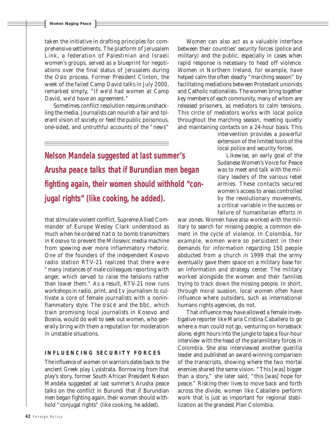taken the initiative in drafting principles for comprehensive settlements. The platform of Jerusalem Link, a federation of Palestinian and Israeli women's groups, served as a blueprint for negotiations over the final status of Jerusalem during the Oslo process. Former President Clinton, the week of the failed Camp David talks in July 2000, remarked simply, "If we'd had women at Camp David, we'd have an agreement."

Sometimes conflict resolution requires unshackling the media. Journalists can nourish a fair and tolerant vision of society or feed the public poisonous, one-sided, and untruthful accounts of the "news"

**Nelson Mandela suggested at last summer's Arusha peace talks that if Burundian men began fighting again, their women should withhold "conjugal rights" (like cooking, he added).**

that stimulate violent conflict. Supreme Allied Commander of Europe Wesley Clark understood as much when he ordered nato to bomb transmitters in Kosovo to prevent the Milosevic media machine from spewing ever more inflammatory rhetoric. One of the founders of the independent Kosovo radio station RTV-21 realized that there were "many instances of male colleagues reporting with anger, which served to raise the tensions rather than lower them." As a result, RTV-21 now runs workshops in radio, print, and tv journalism to cultivate a core of female journalists with a noninflammatory style. The osce and the bbc, which train promising local journalists in Kosovo and Bosnia, would do well to seek out women, who generally bring with them a reputation for moderation in unstable situations.

#### **INFLUENCING SECURITY FORCES**

The influence of women on warriors dates back to the ancient Greek play *Lysistrata*. Borrowing from that play's story, former South African President Nelson Mandela suggested at last summer's Arusha peace talks on the conflict in Burundi that if Burundian men began fighting again, their women should withhold "conjugal rights" (like cooking, he added).

Women can also act as a valuable interface between their countries' security forces (police and military) and the public, especially in cases when rapid response is necessary to head off violence. Women in Northern Ireland, for example, have helped calm the often deadly "marching season" by facilitating mediations between Protestant unionists and Catholic nationalists. The women bring together key members of each community, many of whom are released prisoners, as mediators to calm tensions. This circle of mediators works with local police throughout the marching season, meeting quietly and maintaining contacts on a 24-hour basis. This

> intervention provides a powerful extension of the limited tools of the local police and security forces.

> Likewise, an early goal of the Sudanese Women's Voice for Peace was to meet and talk with the military leaders of the various rebel armies. These contacts secured women's access to areas controlled by the revolutionary movements, a critical variable in the success or failure of humanitarian efforts in

war zones. Women have also worked with the military to search for missing people, a common element in the cycle of violence. In Colombia, for example, women were so persistent in their demands for information regarding 150 people abducted from a church in 1999 that the army eventually gave them space on a military base for an information and strategy center. The military worked alongside the women and their families trying to track down the missing people. In short, through moral suasion, local women often have influence where outsiders, such as international humans rights agencies, do not.

That influence may have allowed a female investigative reporter like Maria Cristina Caballero to go where a man could not go, venturing on horseback alone, eight hours into the jungle to tape a four-hour interview with the head of the paramilitary forces in Colombia. She also interviewed another guerilla leader and published an award-winning comparison of the transcripts, showing where the two mortal enemies shared the same vision. "This [was] bigger than a story," she later said, "this [was] hope for peace." Risking their lives to move back and forth across the divide, women like Caballero perform work that is just as important for regional stabilization as the grandest Plan Colombia.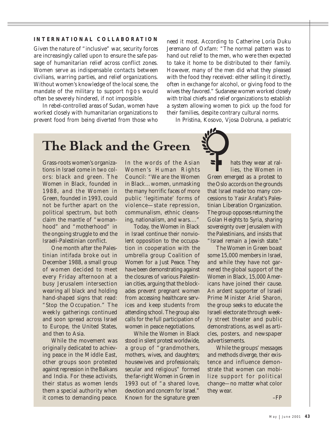#### **INTERNATIONAL COLLABORATION**

Given the nature of "inclusive" war, security forces are increasingly called upon to ensure the safe passage of humanitarian relief across conflict zones. Women serve as indispensable contacts between civilians, warring parties, and relief organizations. Without women's knowledge of the local scene, the mandate of the military to support ngos would often be severely hindered, if not impossible.

In rebel-controlled areas of Sudan, women have worked closely with humanitarian organizations to prevent food from being diverted from those who need it most. According to Catherine Loria Duku Jeremano of Oxfam: "The normal pattern was to hand out relief to the men, who were then expected to take it home to be distributed to their family. However, many of the men did what they pleased with the food they received: either selling it directly, often in exchange for alcohol, or giving food to the wives they favored." Sudanese women worked closely with tribal chiefs and relief organizations to establish a system allowing women to pick up the food for their families, despite contrary cultural norms.

In Pristina, Kosovo, Vjosa Dobruna, a pediatric

### **The Black and the Green**

Grass-roots women's organizations in Israel come in two colors: black and green. The Women in Black, founded in 1988, and the Women in Green, founded in 1993, could not be further apart on the political spectrum, but both claim the mantle of "womanhood" and "motherhood" in the ongoing struggle to end the Israeli-Palestinian conflict.

One month after the Palestinian intifada broke out in December 1988, a small group of women decided to meet every Friday afternoon at a busy Jerusalem intersection wearing all black and holding hand-shaped signs that read: "Stop the Occupation." The weekly gatherings continued and soon spread across Israel to Europe, the United States, and then to Asia.

While the movement was originally dedicated to achieving peace in the Middle East, other groups soon protested against repression in the Balkans and India. For these activists, their status as women lends them a special authority when it comes to demanding peace.

In the words of the Asian Women's Human Rights Council: "We are the Women in Black…women, unmasking the many horrific faces of more public 'legitimate' forms of violence—state repression, communalism, ethnic cleansing, nationalism, and wars...."

Today, the Women in Black in Israel continue their nonviolent opposition to the occupation in cooperation with the umbrella group Coalition of Women for a Just Peace. They have been demonstrating against the closures of various Palestinian cities, arguing that the blockades prevent pregnant women from accessing healthcare services and keep students from attending school. The group also calls for the full participation of women in peace negotiations.

While the Women in Black stood in silent protest worldwide, a group of "grandmothers, mothers, wives, and daughters; housewives and professionals; secular and religious" formed the far-right Women in Green in 1993 out of "a shared love, devotion and concern for Israel." Known for the signature green

hats they wear at rallies, the Women in Green emerged as a protest to the Oslo accords on the grounds that Israel made too many concessions to Yasir Arafat's Palestinian Liberation Organization. The group opposes returning the Golan Heights to Syria, sharing sovereignty over Jerusalem with the Palestinians, and insists that "Israel remain a Jewish state."

The Women in Green boast some 15,000 members in Israel, and while they have not garnered the global support of the Women in Black, 15,000 Americans have joined their cause. An ardent supporter of Israeli Prime Minister Ariel Sharon, the group seeks to educate the Israeli electorate through weekly street theater and public demonstrations, as well as articles, posters, and newspaper advertisements.

While the groups' messages and methods diverge, their existence and influence demonstrate that women can mobilize support for political change—no matter what color they wear.

*–FP*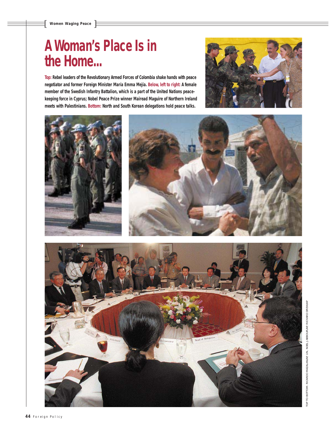## **A Woman's Place Is in the Home...**

**Top: Rebel leaders of the Revolutionary Armed Forces of Colombia shake hands with peace negotiator and former Foreign Minister María Emma Mejía. Below, left to right: A female member of the Swedish Infantry Battalion, which is a part of the United Nations peacekeeping force in Cyprus; Nobel Peace Prize winner Mairead Maguire of Northern Ireland meets with Palestinians. Bottom: North and South Korean delegations hold peace talks.**







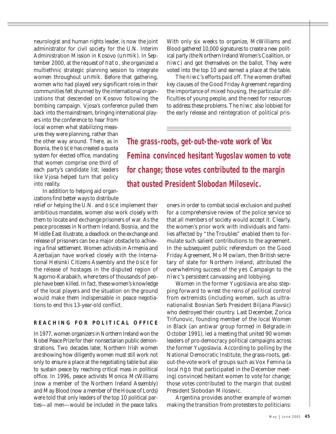neurologist and human rights leader, is now the joint administrator for civil society for the U.N. Interim Administration Mission in Kosovo (unmik). In September 2000, at the request of nato, she organized a multiethnic strategic planning session to integrate women throughout unmik. Before that gathering, women who had played very significant roles in their communities felt shunned by the international organizations that descended on Kosovo following the bombing campaign. Vjosa's conference pulled them back into the mainstream, bringing international play-

ers into the conference to hear from local women what stabilizing measures they were planning, rather than the other way around. There, as in Bosnia, the osce has created a quota system for elected office, mandating that women comprise one third of each party's candidate list; leaders like Vjosa helped turn that policy into reality.

In addition to helping aid organizations find better ways to distribute

relief or helping the U.N. and osce implement their ambitious mandates, women also work closely with them to locate and exchange prisoners of war. As the peace processes in Northern Ireland, Bosnia, and the Middle East illustrate, a deadlock on the exchange and release of prisoners can be a major obstacle to achieving a final settlement. Women activists in Armenia and Azerbaijan have worked closely with the International Helsinki Citizens Assembly and the osce for the release of hostages in the disputed region of Nagorno-Karabakh, where tens of thousands of people have been killed. In fact, these women's knowledge of the local players and the situation on the ground would make them indispensable in peace negotiations to end this 13-year-old conflict.

#### **REACHING FOR POLITICAL OFFICE**

In 1977, women organizers in Northern Ireland won the Nobel Peace Prize for their nonsectarian public demonstrations. Two decades later, Northern Irish women are showing how diligently women must still work not only to ensure a place at the negotiating table but also to sustain peace by reaching critical mass in political office. In 1996, peace activists Monica McWilliams (now a member of the Northern Ireland Assembly) and May Blood (now a member of the House of Lords) were told that only leaders of the top 10 political parties—all men—would be included in the peace talks.

With only six weeks to organize, McWilliams and Blood gathered 10,000 signatures to create a new political party (the Northern Ireland Women's Coalition, or niwc) and got themselves on the ballot. They were voted into the top 10 and earned a place at the table.

The niwc's efforts paid off. The women drafted key clauses of the Good Friday Agreement regarding the importance of mixed housing, the particular difficulties of young people, and the need for resources to address these problems. The niwc also lobbied for the early release and reintegration of political pris-

**The grass-roots, get-out-the-vote work of Vox Femina convinced hesitant Yugoslav women to vote for change; those votes contributed to the margin that ousted President Slobodan Milosevic.**

> oners in order to combat social exclusion and pushed for a comprehensive review of the police service so that all members of society would accept it. Clearly, the women's prior work with individuals and families affected by "the Troubles" enabled them to formulate such salient contributions to the agreement. In the subsequent public referendum on the Good Friday Agreement, Mo Mowlam, then British secretary of state for Northern Ireland, attributed the overwhelming success of the yes Campaign to the niwc's persistent canvassing and lobbying.

> Women in the former Yugoslavia are also stepping forward to wrest the reins of political control from extremists (including women, such as ultranationalist Bosnian Serb President Biljana Plavsic) who destroyed their country. Last December, Zorica Trifunovic, founding member of the local Women in Black (an antiwar group formed in Belgrade in October 1991), led a meeting that united 90 women leaders of pro-democracy political campaigns across the former Yugoslavia. According to polling by the National Democratic Institute, the grass-roots, getout-the-vote work of groups such as Vox Femina (a local ngo that participated in the December meeting) convinced hesitant women to vote for change; those votes contributed to the margin that ousted President Slobodan Milosevic.

> Argentina provides another example of women making the transition from protesters to politicians: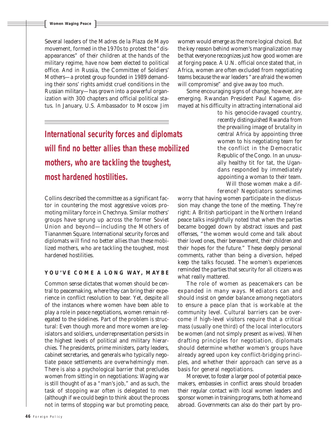Several leaders of the Madres de la Plaza de Mayo movement, formed in the 1970s to protest the "disappearances" of their children at the hands of the military regime, have now been elected to political office. And in Russia, the Committee of Soldiers' Mothers—a protest group founded in 1989 demanding their sons' rights amidst cruel conditions in the Russian military—has grown into a powerful organization with 300 chapters and official political status. In January, U.S. Ambassador to Moscow Jim

**International security forces and diplomats will find no better allies than these mobilized mothers, who are tackling the toughest, most hardened hostilities.**

Collins described the committee as a significant factor in countering the most aggressive voices promoting military force in Chechnya. Similar mothers' groups have sprung up across the former Soviet Union and beyond—including the Mothers of Tiananmen Square. International security forces and diplomats will find no better allies than these mobilized mothers, who are tackling the toughest, most hardened hostilities.

#### **Y O U ' V E C O M E A L O N G WAY, M AY B E**

Common sense dictates that women should be central to peacemaking, where they can bring their experience in conflict resolution to bear. Yet, despite all of the instances where women have been able to play a role in peace negotiations, women remain relegated to the sidelines. Part of the problem is structural: Even though more and more women are legislators and soldiers, underrepresentation persists in the highest levels of political and military hierarchies. The presidents, prime ministers, party leaders, cabinet secretaries, and generals who typically negotiate peace settlements are overwhelmingly men. There is also a psychological barrier that precludes women from sitting in on negotiations: Waging war is still thought of as a "man's job," and as such, the task of stopping war often is delegated to men (although if we could begin to think about the process not in terms of stopping war but promoting peace, women would emerge as the more logical choice). But the key reason behind women's marginalization may be that everyone recognizes just how good women are at forging peace. A U.N. official once stated that, in Africa, women are often excluded from negotiating teams because the war leaders "are afraid the women will compromise" and give away too much.

Some encouraging signs of change, however, are emerging. Rwandan President Paul Kagame, dismayed at his difficulty in attracting international aid

> to his genocide-ravaged country, recently distinguished Rwanda from the prevailing image of brutality in central Africa by appointing three women to his negotiating team for the conflict in the Democratic Republic of the Congo. In an unusually healthy tit for tat, the Ugandans responded by immediately appointing a woman to their team. Will those women make a dif-

> ference? Negotiators sometimes

worry that having women participate in the discussion may change the tone of the meeting. They're right: A British participant in the Northern Ireland peace talks insightfully noted that when the parties became bogged down by abstract issues and past offenses, "the women would come and talk about their loved ones, their bereavement, their children and their hopes for the future." These deeply personal comments, rather than being a diversion, helped keep the talks focused. The women's experiences reminded the parties that security for all citizens was what really mattered.

The role of women as peacemakers can be expanded in many ways. Mediators can and should insist on gender balance among negotiators to ensure a peace plan that is workable at the community level. Cultural barriers can be overcome if high-level visitors require that a critical mass (usually one third) of the local interlocutors be women (and not simply present as wives). When drafting principles for negotiation, diplomats should determine whether women's groups have already agreed upon key conflict-bridging principles, and whether their approach can serve as a basis for general negotiations.

Moreover, to foster a larger pool of potential peacemakers, embassies in conflict areas should broaden their regular contact with local women leaders and sponsor women in training programs, both at home and abroad. Governments can also do their part by pro